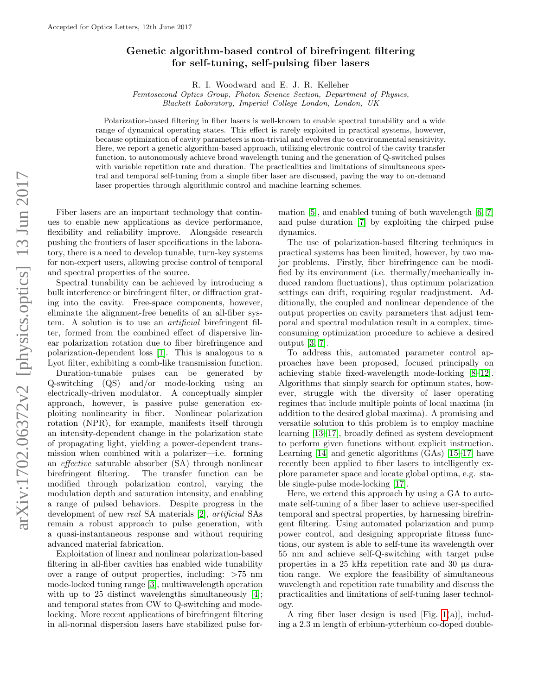## Genetic algorithm-based control of birefringent filtering for self-tuning, self-pulsing fiber lasers

R. I. Woodward and E. J. R. Kelleher

Femtosecond Optics Group, Photon Science Section, Department of Physics, Blackett Laboratory, Imperial College London, London, UK

Polarization-based filtering in fiber lasers is well-known to enable spectral tunability and a wide range of dynamical operating states. This effect is rarely exploited in practical systems, however, because optimization of cavity parameters is non-trivial and evolves due to environmental sensitivity. Here, we report a genetic algorithm-based approach, utilizing electronic control of the cavity transfer function, to autonomously achieve broad wavelength tuning and the generation of Q-switched pulses with variable repetition rate and duration. The practicalities and limitations of simultaneous spectral and temporal self-tuning from a simple fiber laser are discussed, paving the way to on-demand laser properties through algorithmic control and machine learning schemes.

Fiber lasers are an important technology that continues to enable new applications as device performance, flexibility and reliability improve. Alongside research pushing the frontiers of laser specifications in the laboratory, there is a need to develop tunable, turn-key systems for non-expert users, allowing precise control of temporal and spectral properties of the source.

Spectral tunability can be achieved by introducing a bulk interference or birefringent filter, or diffraction grating into the cavity. Free-space components, however, eliminate the alignment-free benefits of an all-fiber system. A solution is to use an *artificial* birefringent filter, formed from the combined effect of dispersive linear polarization rotation due to fiber birefringence and polarization-dependent loss [\[1\]](#page-4-0). This is analogous to a Lyot filter, exhibiting a comb-like transmission function.

Duration-tunable pulses can be generated by Q-switching (QS) and/or mode-locking using an electrically-driven modulator. A conceptually simpler approach, however, is passive pulse generation exploiting nonlinearity in fiber. Nonlinear polarization rotation (NPR), for example, manifests itself through an intensity-dependent change in the polarization state of propagating light, yielding a power-dependent transmission when combined with a polarizer—i.e. forming an effective saturable absorber (SA) through nonlinear birefringent filtering. The transfer function can be modified through polarization control, varying the modulation depth and saturation intensity, and enabling a range of pulsed behaviors. Despite progress in the development of new real SA materials [\[2\]](#page-4-1), artificial SAs remain a robust approach to pulse generation, with a quasi-instantaneous response and without requiring advanced material fabrication.

Exploitation of linear and nonlinear polarization-based filtering in all-fiber cavities has enabled wide tunability over a range of output properties, including: >75 nm mode-locked tuning range [\[3\]](#page-4-2), multiwavelength operation with up to 25 distinct wavelengths simultaneously [\[4\]](#page-4-3); and temporal states from CW to Q-switching and modelocking. More recent applications of birefringent filtering in all-normal dispersion lasers have stabilized pulse for-

mation [\[5\]](#page-4-4), and enabled tuning of both wavelength [\[6,](#page-4-5) [7\]](#page-4-6) and pulse duration [\[7\]](#page-4-6) by exploiting the chirped pulse dynamics.

The use of polarization-based filtering techniques in practical systems has been limited, however, by two major problems. Firstly, fiber birefringence can be modified by its environment (i.e. thermally/mechanically induced random fluctuations), thus optimum polarization settings can drift, requiring regular readjustment. Additionally, the coupled and nonlinear dependence of the output properties on cavity parameters that adjust temporal and spectral modulation result in a complex, timeconsuming optimization procedure to achieve a desired output [\[3,](#page-4-2) [7\]](#page-4-6).

To address this, automated parameter control approaches have been proposed, focused principally on achieving stable fixed-wavelength mode-locking [\[8–](#page-4-7)[12\]](#page-4-8). Algorithms that simply search for optimum states, however, struggle with the diversity of laser operating regimes that include multiple points of local maxima (in addition to the desired global maxima). A promising and versatile solution to this problem is to employ machine learning [\[13–](#page-4-9)[17\]](#page-4-10), broadly defined as system development to perform given functions without explicit instruction. Learning [\[14\]](#page-4-11) and genetic algorithms (GAs) [\[15–](#page-4-12)[17\]](#page-4-10) have recently been applied to fiber lasers to intelligently explore parameter space and locate global optima, e.g. stable single-pulse mode-locking [\[17\]](#page-4-10).

Here, we extend this approach by using a GA to automate self-tuning of a fiber laser to achieve user-specified temporal and spectral properties, by harnessing birefringent filtering. Using automated polarization and pump power control, and designing appropriate fitness functions, our system is able to self-tune its wavelength over 55 nm and achieve self-Q-switching with target pulse properties in a 25 kHz repetition rate and 30 µs duration range. We explore the feasibility of simultaneous wavelength and repetition rate tunability and discuss the practicalities and limitations of self-tuning laser technology.

A ring fiber laser design is used [Fig. [1\(](#page-1-0)a)], including a 2.3 m length of erbium-ytterbium co-doped double-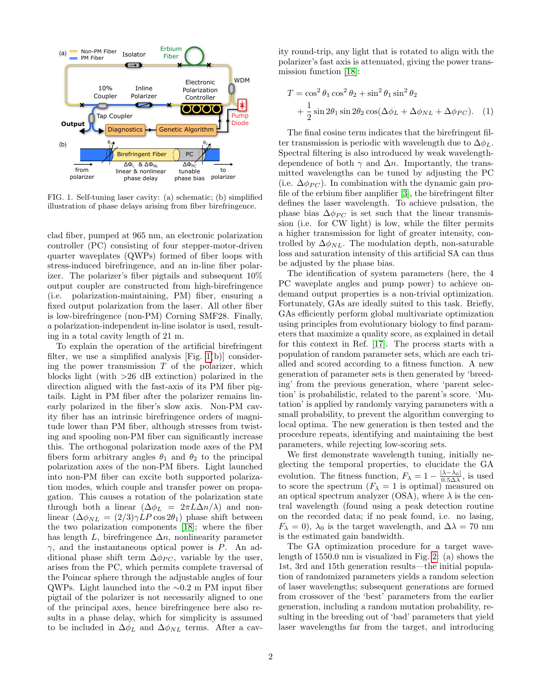

<span id="page-1-0"></span>**Fig. 1.** Self-tuning laser cavity: (a) schematic; (b) simplified FIG. 1. Self-tuning laser cavity: (a) schematic; (b) simplified illustration of phase delays arising from fiber birefringence. illustration of phase delays arising from fiber birefringence.

clad fiber, pumped at 965 nm, an electronic polarization controller (PC) consisting of four stepper-motor-driven quarter waveplates (QWPs) formed of fiber loops with stress-induced birefringence, and an in-line fiber polarizer. The polarizer's fiber pigtails and subsequent  $10\%$ output coupler are constructed from high-birefringence (i.e. polarization-maintaining, PM) fiber, ensuring a fixed output polarization from the laser. All other fiber is low-birefringence (non-PM) Corning SMF28. Finally, a polarization-independent in-line isolator is used, result- $\frac{1}{2}$  in a total cavity length of 21 m.

 $p_{\text{max}}$  and  $p_{\text{max}}$  follow-birefringence  $p_{\text{max}}$  is low-birefringence birefringence birefringence bir fringence bir fringence bir fringence bir fringence bir fringence bir fringence bir fringence bir fringence bir f To explain the operation of the artificial birefringent filter, we use a simplified analysis [Fig. [1\(](#page-1-0)b)] considerblocks light (with  $>26$  dB extinction) polarized in the direction aligned with the fast-axis of its PM fiber pigtransmitted with the hast axis of the 1 M floor pig tails. Light in PM fiber after the polarizer remains linearly polarized in the fiber's slow axis. Non-PM cavity fiber has an intrinsic birefringence orders of magnitude lower than PM fiber, although stresses from twisting and spooling non-PM fiber can significantly increase this. The orthogonal polarization mode axes of the PM fibers form arbitrary angles  $\theta_1$  and  $\theta_2$  to the principal angles *θ*<sup>1</sup> and *θ*<sup>2</sup> to the principal polarization axes of the non-PM polarization axes of the non-PM fibers. Light launched  $\frac{1}{\sqrt{2}}$  and  $\frac{1}{\sqrt{2}}$  and  $\frac{1}{\sqrt{2}}$  but  $\frac{1}{\sqrt{2}}$  but  $\frac{1}{\sqrt{2}}$  but  $\frac{1}{\sqrt{2}}$  but  $\frac{1}{\sqrt{2}}$  but  $\frac{1}{\sqrt{2}}$  but  $\frac{1}{\sqrt{2}}$  but  $\frac{1}{\sqrt{2}}$  but  $\frac{1}{\sqrt{2}}$  but  $\frac{1}{\sqrt{2}}$  but  $\frac{1}{\sqrt{2}}$  but into non-PM fiber can excite both supported polarization modes, which couple and transfer power on propagation. This causes a rotation of the polarization state through both a linear  $(\Delta \phi_L = 2\pi L \Delta n/\lambda)$  and nonlinear  $(\Delta \phi_{NL} = (2/3) \gamma L P \cos 2\theta_1)$  phase shift between the two polarization components [\[18\]](#page-4-13); where the fiber has length L, birefringence  $\Delta n$ , nonlinearity parameter  $\gamma$ , and the instantaneous optical power is P. An adthe modulational phase shift term  $\Delta \phi_{PC}$ , variable by the user,  $\Delta \varphi_{PC}$ , variable by the user, arises from the PC, which permits complete traversal of the Poincar sphere through the adjustable angles of four QWPs. Light launched into the ∼0.2 m PM input fiber *pigtail* of the polarizer is not necessarily aligned to one of the principal axes, hence birefringence here also reing the power transmission  $T$  of the polarizer, which sults in a phase delay, which for simplicity is assumed to be included in  $\Delta \phi_L$  and  $\Delta \phi_{NL}$  terms. After a cav-

ity round-trip, any light that is rotated to align with the mission function [\[18\]](#page-4-13): polarizer's fast axis is attenuated, giving the power trans-

$$
T = \cos^2 \theta_1 \cos^2 \theta_2 + \sin^2 \theta_1 \sin^2 \theta_2
$$
  
+  $\frac{1}{2} \sin 2\theta_1 \sin 2\theta_2 \cos(\Delta \phi_L + \Delta \phi_{NL} + \Delta \phi_{PC}).$  (1)

 $\overline{m}$  spectral filtering is interval filtering intervals in the spectral filtering is intervals in the spectral filtering intervals in the spectral filtering intervals in the spectral filtering intervals in the spectra The final cosine term indicates that the birefringent filter transmission is periodic with wavelength due to  $\Delta \phi_L$ . Spectral filtering is also introduced by weak wavelengthdependence of both  $\gamma$  and  $\Delta n$ . Importantly, the transmitted wavelengths can be tuned by adjusting the PC (i.e.  $\Delta \phi_{PC}$ ). In combination with the dynamic gain profile of the erbium fiber amplifier  $[3]$ , the birefringent filter defines the laser wavelength. To achieve pulsation, the  $\frac{1}{1}$   $\frac{1}{1}$   $\frac{1}{2}$   $\frac{1}{2}$   $\frac{1}{2}$   $\frac{1}{2}$   $\frac{1}{2}$   $\frac{1}{2}$   $\frac{1}{2}$   $\frac{1}{2}$   $\frac{1}{2}$   $\frac{1}{2}$ phase bias  $\Delta \phi_{PC}$  is set such that the linear transmission (i.e. for CW light) is low, while the filter permits a higher transmission for light of greater intensity, controlled by  $\Delta \phi_{NL}$ . The modulation depth, non-saturable loss and saturation intensity of this artificial SA can thus be adjusted by the phase bias.

The identification of system parameters (here, the 4 PC waveplate angles and pump power) to achieve ondemand output properties is a non-trivial optimization.  $\Gamma$  are each trial of  $\Gamma$  fitness function. According to a fitter and scored according to a fitter and  $\Gamma$  fitter and  $\Gamma$  fitter and  $\Gamma$  fitter and  $\Gamma$  fitter and  $\Gamma$  fitter and  $\Gamma$  fitter and  $\Gamma$  fitter and  $\Gamma$ Fortunately, GAs are ideally suited to this task. Briefly, GAs efficiently perform global multivariate optimization using principles from evolutionary biology to find parameters that maximize a quality score, as explained in detail for this context in Ref.  $[17]$ . The process starts with a population of random parameter sets, which are each triided and scored according to a fitness function. A new generation of parameter sets is then generated by 'breed-We first demonstrate wavelength tuning, including the second tuning of the second tuning, in the second tuning ing' from the previous generation, where 'parent selecfitness *F*<sub>*l*</sub>  $\alpha$  is used to the parameters with a tation' is applied by randomly varying parameters with a tion' is probabilistic, related to the parent's score. 'Mu- $F_{\text{total}}$  is applied by randomly varying parameters with small probability, to prevent the algorithm converging to local optima. The new generation is then tested and the procedure repeats, identifying and maintaining the best parameters, while rejecting low-scoring sets.

We first demonstrate wavelength tuning, initially neglecting the temporal properties, to elucidate the GA generation The fitness function  $\overline{F} = 1 - |\lambda - \lambda_0|$  is us evolution. The fitness function,  $F_{\lambda} = 1 - \frac{|\lambda - \lambda_0|}{0.5\Delta\lambda}$ , is used to score the spectrum  $(F_{\lambda} = 1 \text{ is optimal})$  measured on an optical spectrum analyzer (OSA), where  $\lambda$  is the central wavelength (found using a peak detection routine on the recorded data; if no peak found, i.e. no lasing,  $F_{\lambda} = 0$ ,  $\lambda_0$  is the target wavelength, and  $\Delta \lambda = 70$  nm is the estimated gain bandwidth.

The GA optimization procedure for a target wavelength of  $1550.0$  nm is visualized in Fig. [2:](#page-2-0) (a) shows the  $\frac{1}{2}$  (a)  $\frac{1}{2}$  (b)  $\frac{1}{2}$  (b)  $\frac{1}{2}$  (b)  $\frac{1}{2}$  (b)  $\frac{1}{2}$  (c)  $\frac{1}{2}$  (b)  $\frac{1}{2}$  (c)  $\frac{1}{2}$  (c)  $\frac{1}{2}$  (c)  $\frac{1}{2}$  (c)  $\frac{1}{2}$  (c)  $\frac{1}{2}$  (c)  $\frac{1}{2}$  (c)  $\frac{1}{2}$  (c)  $\frac{1}{2}$  ( 1st, 3rd and 15th generation results—the initial population of randomized parameters yields a random selection of laser wavelengths; subsequent generations are formed from crossover of the 'best' parameters from the earlier generation, including a random mutation probability, resulting in the breeding out of 'bad' parameters that yield laser wavelengths far from the target, and introducing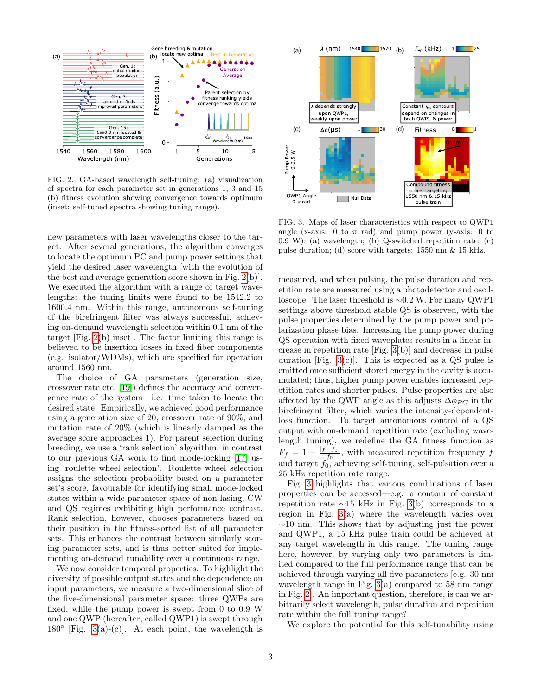

<span id="page-2-0"></span>**Fig. 2.** GA-based wavelength self-tuning: (a) visualization FIG. 2. GA-based wavelength self-tuning: (a) visualization **Fig. 2.** GA-based wavelength self-tuning: (a) visualization of spectra for each parameter set in generations 1, 3 and 15 of spectra for each parameter set in generations 1, 3 and 15 of spectra for each parameter set in generations 1, 3 and 15 (b) fitness evolution showing convergence towards optimum (b) fitness evolution showing convergence towards optimum (b) fitness evolution showing convergence towards optimum (inset: self-tuned spectra showing tuning range). (inset: self-tuned spectra showing tuning range). (inset: self-tuned spectra showing tuning range).

insertion losses in fixed fiber components (e.g. isolator/WDMs),  $\mathbf{r} = \mathbf{r} \cdot \mathbf{r} \cdot \mathbf{r}$ , is later, where  $\mathbf{r} = \mathbf{r} \cdot \mathbf{r} \cdot \mathbf{r}$ , where  $\mathbf{r} = \mathbf{r} \cdot \mathbf{r} \cdot \mathbf{r}$ , where  $\mathbf{r} = \mathbf{r} \cdot \mathbf{r} \cdot \mathbf{r$ new parameters with laser wavelengths closer to the target. After several generations, the algorithm converges to locate the optimum PC and pump power settings that yield the desired laser wavelength [with the evolution of the best and average generation score shown in Fig. [2\(](#page-2-0)b)]. We executed the algorithm with a range of target wavelengths: the tuning limits were found to be 1542.2 to linearly direction during breeding as the selection of the average score approaches 1600.4 nm. Within this range, autonomous self-tuning food: I him. Whilm this range, aatonomode self taling<br>of the birefringent filter was always successful, achievof the bitchingent liner was always successitut, achieving on-demand wavelength selection within 0.1 nm of the selection assigns the selection probability based on a parameter of  $\mathbb{R}^n$  . Also parameter  $\mathbb{R}^n$ target [Fig. [2\(](#page-2-0)b) inset]. The factor limiting this range is believed to be insertion losses in fixed fiber components (e.g. isolator/WDMs), which are specified for operation around 1560 nm.  $\mu$  where  $\alpha$  is  $\alpha$  is  $\alpha$  is  $\alpha$  is  $\alpha$  is  $\alpha$  is  $\alpha$  is  $\alpha$  is  $\alpha$  is  $\alpha$  is  $\alpha$  is  $\alpha$  is  $\alpha$  is  $\alpha$  is  $\alpha$  is  $\alpha$  is  $\alpha$  is  $\alpha$  is  $\alpha$  is  $\alpha$  is  $\alpha$  is  $\alpha$  is  $\alpha$  is  $\alpha$  is  $\alpha$  is  $\alpha$  is  $\$ 

The choice of GA parameters (generation size, crossover rate etc.  $[19]$ ) defines the accuracy and convergence rate of the system—i.e. time taken to locate the desired state. Empirically, we achieved good performance using a generation size of 20, crossover rate of 90%, and mutation rate of 20% (which is linearly damped as the parameters, we measure a two-dimensional slice of the five-average score approaches 1). For parent selection during versity of possible output states and the dependence on input  $\frac{d}{dx}$  between the parameter space of  $\frac{d}{dx}$ breeding, we use a 'rank selection' algorithm, in contrast to our previous GA work to find mode-locking [\[17\]](#page-4-10) using 'roulette wheel selection'. Roulette wheel selection assigns the selection probability based on a parameter set's score, favourable for identifying small mode-locked states within a wide parameter space of non-lasing, CW states whilm a wide parameter space of non lasting, OW<br>and QS regimes exhibiting high performance contrast. Rank selection, however, chooses parameters based on their position in the fitness-sorted list of all parameter sets. This enhances the contrast between similarly scoring parameter sets, and is thus better suited for impleergy parameter sets, and is thus better sured for imprementing on-demand tunability over a continuous range.

We now consider temporal properties. To highlight the unit of the cavity is accumulated; the cavity is accumulated; the cavity is accumulated; the cavity is accumulated; the cavity is accumulated; the cavity is accumulate diversity of possible output states and the dependence on input parameters, we measure a two-dimensional slice of the five-dimensional parameter space: three QWPs are fixed, while the pump power is swept from 0 to 0.9 W and one QWP (hereafter, called QWP1) is swept through 180 $\degree$  [Fig. [3\(](#page-2-1)a)-(c)]. At each point, the wavelength is



<span id="page-2-1"></span>FIG. 3. Maps of laser characteristics with respect to QWP1 angle (x-axis: 0 to  $\pi$  rad) and pump power (y-axis: 0 to  $(0.9 \text{ W})$ : (a) wavelength; (b) Q-switched repetition rate; (c) pulse duration; (d) score with targets: 1550 nm & 15 kHz.

measured, and when pulsing, the pulse duration and repetition rate are measured using a photodetector and oscilloscope. The laser threshold is ∼0.2 W. For many QWP1 over ≈15 kHz in Fig. 3(a) when Fig. 3(a) when Fig. 3(a) when Fig. 3(a) when Fig. 3(a) when Fig. 3(a) when Fig. 3(a) when Fig. 3(a) when Fig. 3(a) when Fig. 3(a) when Fig. 3(a) when Fig. 3(a) when Fig. 3(a) when Fig. 3(a) pulse properties determined by the pump power and poachieve properties accommod sy the pump power and po  $\alpha$  and  $\alpha$  is called wavelength, pulse wavelength, pulse wavelength, pulse wavelength, pulse wavelength, pulse  $\alpha$ ad operation with next waveplaces results in a line crease in repetition rate [Fig. [3\(](#page-2-1)b)] and decrease in pulse duration [Fig.  $3(c)$ ]. This is expected as a QS pulse is emitted once sufficient stored energy in the cavity is accumulated; thus, higher pump power enables increased repetition rates and shorter pulses. Pulse properties are also affected by the QWP angle as this adjusts  $\Delta \phi_{PC}$  in the birefringent filter, which varies the intensity-dependentloss function. To target autonomous control of a QS output with on-demand repetition rate (excluding wavelength tuning), we redefine the GA fitness function as the state of the state of the state of the state of the state of the state of the state of the state of the state of the state of the state of the state of the state of the state of the state of the state of the state of t  $F_f = 1 - \frac{|f - f_0|}{f_0}$ , with measured repetition frequency f and target  $f_0^{J_0}$  achieving self-tuning, self-pulsation over a 25 kHz repetition rate range. larization phase bias. Increasing the pump power during.  $\alpha$  $\text{QS}$  operation with fixed waveplates results in a linear inand target  $f_0$ , achieving self-tuning, self-pulsation over a<br>a<sup>25</sup> MI<sub>2</sub> accordition rate repres  $\frac{-f_{0}|}{f_{0}}$ , with measured repetition frequency f

Fig. [3](#page-2-1) highlights that various combinations of laser rig. 3 inginights that various combinations of laser<br>properties can be accessed—e.g. a contour of constant repetition rate  $\sim$ 15 kHz in Fig. [3\(](#page-2-1)b) corresponds to a region in Fig. [3\(](#page-2-1)a) where the wavelength varies over  $\sim$ 10 nm. This shows that by adjusting just the power  $\frac{1}{2}$   $\frac{1}{2}$   $\frac{1}{2}$   $\frac{1}{2}$   $\frac{1}{2}$   $\frac{1}{2}$   $\frac{1}{2}$   $\frac{1}{2}$   $\frac{1}{2}$   $\frac{1}{2}$   $\frac{1}{2}$   $\frac{1}{2}$   $\frac{1}{2}$   $\frac{1}{2}$   $\frac{1}{2}$   $\frac{1}{2}$   $\frac{1}{2}$   $\frac{1}{2}$   $\frac{1}{2}$   $\frac{1}{2}$   $\frac{1}{2}$   $\frac{1}{2}$  and QWP1, a 15 kHz pulse train could be achieved at any target wavelength in this range. The tuning range here, however, by varying only two parameters is limited compared to the full performance range that can be achieved through varying all five parameters [e.g. 30 nm wavelength range in Fig.  $3(a)$  compared to 58 nm range in Fig. [2\]](#page-2-0). An important question, therefore, is can we arbitrarily select wavelength, pulse duration and repetition rate within the full tuning range? properties can be accessed—e.g. a contour of constant

We explore the potential for this self-tunability using extinction ratio, corresponding to  $\mathbf{r}$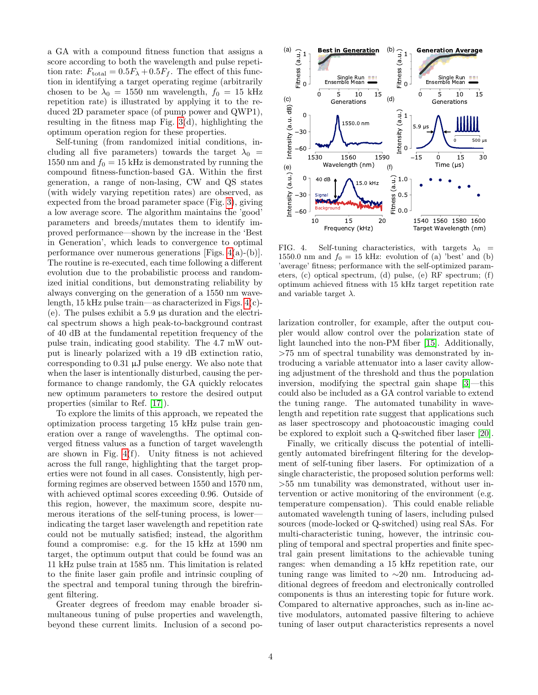a GA with a compound fitness function that assigns a score according to both the wavelength and pulse repetition rate:  $F_{\text{total}} = 0.5F_{\lambda} + 0.5F_{f}$ . The effect of this function in identifying a target operating regime (arbitrarily chosen to be  $\lambda_0 = 1550$  nm wavelength,  $f_0 = 15$  kHz repetition rate) is illustrated by applying it to the reduced 2D parameter space (of pump power and QWP1), resulting in the fitness map Fig.  $3(d)$ , highlighting the optimum operation region for these properties.

Self-tuning (from randomized initial conditions, including all five parameters) towards the target  $\lambda_0$  = 1550 nm and  $f_0 = 15$  kHz is demonstrated by running the compound fitness-function-based GA. Within the first generation, a range of non-lasing, CW and QS states (with widely varying repetition rates) are observed, as expected from the broad parameter space (Fig. [3\)](#page-2-1), giving a low average score. The algorithm maintains the 'good' parameters and breeds/mutates them to identify improved performance—shown by the increase in the 'Best in Generation', which leads to convergence to optimal performance over numerous generations [Figs.  $4(a)-(b)$ ]. The routine is re-executed, each time following a different evolution due to the probabilistic process and randomized initial conditions, but demonstrating reliability by always converging on the generation of a 1550 nm wavelength, 15 kHz pulse train—as characterized in Figs. [4\(](#page-3-0)c)- (e). The pulses exhibit a 5.9 µs duration and the electrical spectrum shows a high peak-to-background contrast of 40 dB at the fundamental repetition frequency of the pulse train, indicating good stability. The 4.7 mW output is linearly polarized with a 19 dB extinction ratio, corresponding to 0.31 µJ pulse energy. We also note that when the laser is intentionally disturbed, causing the performance to change randomly, the GA quickly relocates new optimum parameters to restore the desired output properties (similar to Ref. [\[17\]](#page-4-10)).

To explore the limits of this approach, we repeated the optimization process targeting 15 kHz pulse train generation over a range of wavelengths. The optimal converged fitness values as a function of target wavelength are shown in Fig. [4\(](#page-3-0)f). Unity fitness is not achieved across the full range, highlighting that the target properties were not found in all cases. Consistently, high performing regimes are observed between 1550 and 1570 nm, with achieved optimal scores exceeding 0.96. Outside of this region, however, the maximum score, despite numerous iterations of the self-tuning process, is lower indicating the target laser wavelength and repetition rate could not be mutually satisfied; instead, the algorithm found a compromise: e.g. for the 15 kHz at 1590 nm target, the optimum output that could be found was an 11 kHz pulse train at 1585 nm. This limitation is related to the finite laser gain profile and intrinsic coupling of the spectral and temporal tuning through the birefringent filtering.

Greater degrees of freedom may enable broader simultaneous tuning of pulse properties and wavelength, beyond these current limits. Inclusion of a second po-



<span id="page-3-0"></span>FIG. 4. Self-tuning characteristics, with targets  $\lambda_0$  = 1550.0 nm and  $f_0 = 15$  kHz: evolution of (a) 'best' and (b) 'average' fitness; performance with the self-optimized param-'average' fitness; performance with the self-optimized parameters, (c) optical spectrum, (d) pulse, (e) RF spectrum; (f) optimum achieved fitness with 15 kHz target repetition rate and variable target  $\lambda$ .

larization controller, for example, after the output coupler would allow control over the polarization state of light launched into the non-PM fiber [\[15\]](#page-4-12). Additionally,  $>75$  nm of spectral tunability was demonstrated by in- $\frac{1}{1}$  kHz process targeting the process targeting train generation over the  $\frac{1}{1}$ troducing a variable attenuator into a laser cavity allowing adjustment of the threshold and thus the population inversion, modifying the spectral gain shape [\[3\]](#page-4-2)—this could also be included as a GA control variable to extend the tuning range. The automated tunability in wavelength and repetition rate suggest that applications such as laser spectroscopy and photoacoustic imaging could be explored to exploit such a Q-switched fiber laser [\[20\]](#page-4-15).

Finally, we critically discuss the potential of intelliexample, the accuracy material compromise the  $\frac{1}{2}$  for the developat 1590 nm target that the optimum output the optimum of the optimum of the optimum of the found was found was ment of self-tuning fiber lasers. For optimization of a single characteristic, the proposed solution performs well:  $>55$  nm tunability was demonstrated, without user intervention or active monitoring of the environment (e.g. temperature compensation). This could enable reliable automated wavelength tuning of lasers, including pulsed sources (mode-locked or Q-switched) using real SAs. For multi-characteristic tuning, however, the intrinsic coupling of temporal and spectral properties and finite spectral gain present limitations to the achievable tuning ranges: when demanding a 15 kHz repetition rate, our tuning range was limited to  $~20$  nm. Introducing ad- $\frac{1}{2}$  the population inversion in the spectral gain shape  $\frac{1}{2}$ . ditional degrees of freedom and electronically controlled components is thus an interesting topic for future work. Compared to alternative approaches, such as in-line active modulators, automated passive filtering to achieve tuning of laser output characteristics represents a novel